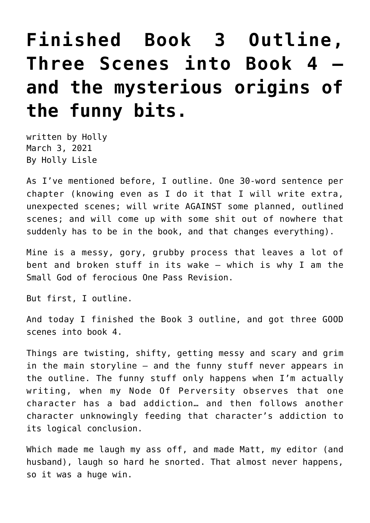## **[Finished Book 3 Outline,](https://hollylisle.com/finished-book-3-outline-three-scenes-into-book-4-and-the-mysterious-origins-of-the-funny-bits/) [Three Scenes into Book 4](https://hollylisle.com/finished-book-3-outline-three-scenes-into-book-4-and-the-mysterious-origins-of-the-funny-bits/)  [and the mysterious origins of](https://hollylisle.com/finished-book-3-outline-three-scenes-into-book-4-and-the-mysterious-origins-of-the-funny-bits/) [the funny bits.](https://hollylisle.com/finished-book-3-outline-three-scenes-into-book-4-and-the-mysterious-origins-of-the-funny-bits/)**

written by Holly March 3, 2021 [By Holly Lisle](https://hollylisle.com)

As I've mentioned before, I outline. One 30-word sentence per chapter (knowing even as I do it that I will write extra, unexpected scenes; will write AGAINST some planned, outlined scenes; and will come up with some shit out of nowhere that suddenly has to be in the book, and that changes everything).

Mine is a messy, gory, grubby process that leaves a lot of bent and broken stuff in its wake — which is why [I am the](https://hollylisle.com/one-pass-manuscript-revision-from-first-draft-to-last-in-one-cycle/) [Small God of ferocious One Pass Revision.](https://hollylisle.com/one-pass-manuscript-revision-from-first-draft-to-last-in-one-cycle/)

But first, I outline.

And today I finished the Book 3 outline, and got three GOOD scenes into book 4.

Things are twisting, shifty, getting messy and scary and grim in the main storyline — and the funny stuff never appears in the outline. The funny stuff only happens when I'm actually writing, when my Node Of Perversity observes that one character has a bad addiction… and then follows another character unknowingly feeding that character's addiction to its logical conclusion.

Which made me laugh my ass off, and made Matt, my editor (and husband), laugh so hard he snorted. That almost never happens, so it was a huge win.